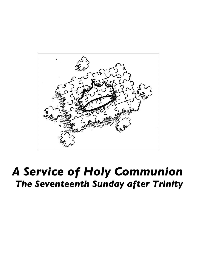

# *A Service of Holy Communion The Seventeenth Sunday after Trinity*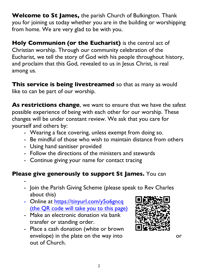**Welcome to St James,** the parish Church of Bulkington. Thank you for joining us today whether you are in the building or worshipping from home. We are very glad to be with you.

**Holy Communion (or the Eucharist)** is the central act of Christian worship. Through our community celebration of the Eucharist, we tell the story of God with his people throughout history, and proclaim that this God, revealed to us in Jesus Christ, is real among us.

**This service is being livestreamed** so that as many as would like to can be part of our worship.

**As restrictions change**, we want to ensure that we have the safest possible experience of being with each other for our worship. These changes will be under constant review. We ask that you care for yourself and others by:

- Wearing a face covering, unless exempt from doing so.
- Be mindful of those who wish to maintain distance from others
- Using hand sanitiser provided
- Follow the directions of the ministers and stewards
- Continue giving your name for contact tracing

## **Please give generously to support St James.** You can

- -
- Join the Parish Giving Scheme (please speak to Rev Charles about this)
- Online at https://tinyurl.com/y506gncq (the QR code will take you to this page)
- Make an electronic donation via bank transfer or standing order.
- Place a cash donation (white or brown envelope) in the plate on the way into or out of Church.

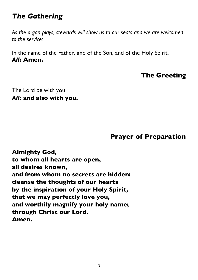# *The Gathering*

*As the organ plays, stewards will show us to our seats and we are welcomed to the service:*

In the name of the Father, and of the Son, and of the Holy Spirit. *All:* **Amen.**

## **The Greeting**

The Lord be with you *All:* **and also with you.**

#### **Prayer of Preparation**

**Almighty God, to whom all hearts are open, all desires known, and from whom no secrets are hidden: cleanse the thoughts of our hearts by the inspiration of your Holy Spirit, that we may perfectly love you, and worthily magnify your holy name; through Christ our Lord. Amen.**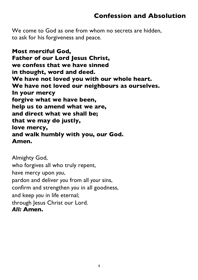## **Confession and Absolution**

We come to God as one from whom no secrets are hidden, to ask for his forgiveness and peace.

**Most merciful God, Father of our Lord Jesus Christ, we confess that we have sinned in thought, word and deed. We have not loved you with our whole heart. We have not loved our neighbours as ourselves. In your mercy forgive what we have been, help us to amend what we are, and direct what we shall be; that we may do justly, love mercy, and walk humbly with you, our God. Amen.**

Almighty God, who forgives all who truly repent, have mercy upon *you*, pardon and deliver *you* from all *your* sins, confirm and strengthen *you* in all goodness, and keep *you* in life eternal; through Jesus Christ our Lord. *All:* **Amen.**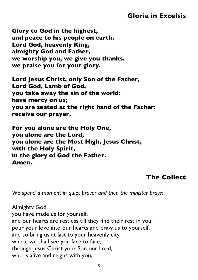## **Gloria in Excelsis**

**Glory to God in the highest, and peace to his people on earth. Lord God, heavenly King, almighty God and Father, we worship you, we give you thanks, we praise you for your glory.**

**Lord Jesus Christ, only Son of the Father, Lord God, Lamb of God, you take away the sin of the world: have mercy on us; you are seated at the right hand of the Father: receive our prayer.**

**For you alone are the Holy One, you alone are the Lord, you alone are the Most High, Jesus Christ, with the Holy Spirit, in the glory of God the Father. Amen.**

#### **The Collect**

*We spend a moment in quiet prayer and then the minister prays:* 

Almighty God, you have made us for yourself, and our hearts are restless till they find their rest in you: pour your love into our hearts and draw us to yourself, and so bring us at last to your heavenly city where we shall see you face to face; through Jesus Christ your Son our Lord, who is alive and reigns with you,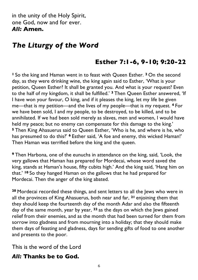in the unity of the Holy Spirit, one God, now and for ever. *All:* **Amen.**

# *The Liturgy of the Word*

## **Esther 7:1-6, 9-10; 9:20-22**

**<sup>1</sup>** So the king and Haman went in to feast with Queen Esther. **<sup>2</sup>** On the second day, as they were drinking wine, the king again said to Esther, 'What is your petition, Queen Esther? It shall be granted you. And what is your request? Even to the half of my kingdom, it shall be fulfilled.' **<sup>3</sup>** Then Queen Esther answered, 'If I have won your favour, O king, and if it pleases the king, let my life be given me—that is my petition—and the lives of my people—that is my request. **<sup>4</sup>** For we have been sold, I and my people, to be destroyed, to be killed, and to be annihilated. If we had been sold merely as slaves, men and women, I would have held my peace; but no enemy can compensate for this damage to the king.' **<sup>5</sup>** Then King Ahasuerus said to Queen Esther, 'Who is he, and where is he, who has presumed to do this?' **<sup>6</sup>** Esther said, 'A foe and enemy, this wicked Haman!' Then Haman was terrified before the king and the queen.

**<sup>9</sup>** Then Harbona, one of the eunuchs in attendance on the king, said, 'Look, the very gallows that Haman has prepared for Mordecai, whose word saved the king, stands at Haman's house, fifty cubits high.' And the king said, 'Hang him on that.' **<sup>10</sup>** So they hanged Haman on the gallows that he had prepared for Mordecai. Then the anger of the king abated.

**<sup>20</sup>** Mordecai recorded these things, and sent letters to all the Jews who were in all the provinces of King Ahasuerus, both near and far, **<sup>21</sup>** enjoining them that they should keep the fourteenth day of the month Adar and also the fifteenth day of the same month, year by year, **<sup>22</sup>** as the days on which the Jews gained relief from their enemies, and as the month that had been turned for them from sorrow into gladness and from mourning into a holiday; that they should make them days of feasting and gladness, days for sending gifts of food to one another and presents to the poor.

This is the word of the Lord

#### *All:* **Thanks be to God.**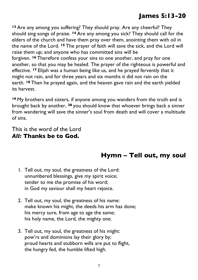## **James 5:13-20**

**<sup>13</sup>** Are any among you suffering? They should pray. Are any cheerful? They should sing songs of praise. **<sup>14</sup>** Are any among you sick? They should call for the elders of the church and have them pray over them, anointing them with oil in the name of the Lord. **<sup>15</sup>** The prayer of faith will save the sick, and the Lord will raise them up; and anyone who has committed sins will be forgiven. **<sup>16</sup>** Therefore confess your sins to one another, and pray for one another, so that you may be healed. The prayer of the righteous is powerful and effective. **<sup>17</sup>** Elijah was a human being like us, and he prayed fervently that it might not rain, and for three years and six months it did not rain on the earth. **<sup>18</sup>** Then he prayed again, and the heaven gave rain and the earth yielded its harvest.

**<sup>19</sup>** My brothers and sisters, if anyone among you wanders from the truth and is brought back by another, **<sup>20</sup>** you should know that whoever brings back a sinner from wandering will save the sinner's soul from death and will cover a multitude of sins.

This is the word of the Lord *All:* **Thanks be to God.**

## **Hymn – Tell out, my soul**

- 1. Tell out, my soul, the greatness of the Lord: unnumbered blessings, give my spirit voice; tender to me the promise of his word; in God my saviour shall my heart rejoice.
- 2. Tell out, my soul, the greatness of his name: make known his might, the deeds his arm has done; his mercy sure, from age to age the same; his holy name, the Lord, the mighty one.
- 3. Tell out, my soul, the greatness of his might: pow'rs and dominions lay their glory by; proud hearts and stubborn wills are put to flight, the hungry fed, the humble lifted high.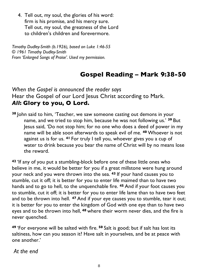4. Tell out, my soul, the glories of his word: firm is his promise, and his mercy sure. Tell out, my soul, the greatness of the Lord to children's children and forevermore.

*Timothy Dudley-Smith (b.1926), based on Luke 1:46-55 © 1961 Timothy Dudley-Smith From 'Enlarged Songs of Praise'. Used my permission.*

# **Gospel Reading – Mark 9:38-50**

*When the Gospel is announced the reader says* Hear the Gospel of our Lord Jesus Christ according to Mark. *All***: Glory to you, O Lord.**

**<sup>38</sup>** John said to him, 'Teacher, we saw someone casting out demons in your name, and we tried to stop him, because he was not following us.' **<sup>39</sup>** But Jesus said, 'Do not stop him; for no one who does a deed of power in my name will be able soon afterwards to speak evil of me. **<sup>40</sup>** Whoever is not against us is for us. **<sup>41</sup>** For truly I tell you, whoever gives you a cup of water to drink because you bear the name of Christ will by no means lose the reward.

**<sup>42</sup>** 'If any of you put a stumbling-block before one of these little ones who believe in me, it would be better for you if a great millstone were hung around your neck and you were thrown into the sea. **<sup>43</sup>** If your hand causes you to stumble, cut it off; it is better for you to enter life maimed than to have two hands and to go to hell, to the unquenchable fire. **<sup>45</sup>** And if your foot causes you to stumble, cut it off; it is better for you to enter life lame than to have two feet and to be thrown into hell. **<sup>47</sup>** And if your eye causes you to stumble, tear it out; it is better for you to enter the kingdom of God with one eye than to have two eyes and to be thrown into hell, **<sup>48</sup>** where their worm never dies, and the fire is never quenched.

**<sup>49</sup>** 'For everyone will be salted with fire. **<sup>50</sup>** Salt is good; but if salt has lost its saltiness, how can you season it? Have salt in yourselves, and be at peace with one another.'

*At the end*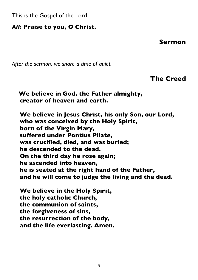This is the Gospel of the Lord.

#### *All***: Praise to you, O Christ.**

**Sermon**

*After the sermon, we share a time of quiet.*

**The Creed**

**We believe in God, the Father almighty, creator of heaven and earth.**

**We believe in Jesus Christ, his only Son, our Lord, who was conceived by the Holy Spirit, born of the Virgin Mary, suffered under Pontius Pilate, was crucified, died, and was buried; he descended to the dead. On the third day he rose again; he ascended into heaven, he is seated at the right hand of the Father, and he will come to judge the living and the dead.**

**We believe in the Holy Spirit, the holy catholic Church, the communion of saints, the forgiveness of sins, the resurrection of the body, and the life everlasting. Amen.**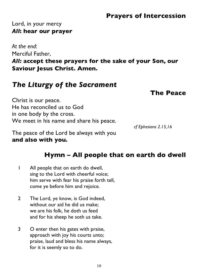### **Prayers of Intercession**

#### Lord, in your mercy *All***: hear our prayer**

*At the end:* Merciful Father, *All:* **accept these prayers for the sake of your Son, our Saviour Jesus Christ. Amen.**

## *The Liturgy of the Sacrament*

#### **The Peace**

Christ is our peace. He has reconciled us to God in one body by the cross. We meet in his name and share his peace.

*cf Ephesians 2.15,16*

The peace of the Lord be always with you **and also with you.**

## **Hymn – All people that on earth do dwell**

- 1 All people that on earth do dwell, sing to the Lord with cheerful voice; him serve with fear his praise forth tell, come ye before him and rejoice.
- 2 The Lord, ye know, is God indeed, without our aid he did us make; we are his folk, he doth us feed and for his sheep he soth us take.
- 3 O enter then his gates with praise, approach with joy his courts unto; praise, laud and bless his name always, for it is seemly so to do.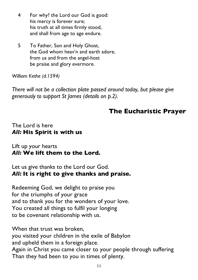- 4 For why? the Lord our God is good: his mercy is forever sure; his truth at all times firmly stood, and shall from age to age endure.
- 5 To Father, Son and Holy Ghost, the God whom heav'n and earth adore, from us and from the angel-host be praise and glory evermore.

*William Kethe (d.1594)*

*There will not be a collection plate passed around today, but please give generously to support St James (details on p.2).*

## **The Eucharistic Prayer**

#### The Lord is here *All:* **His Spirit is with us**

Lift up your hearts *All:* **We lift them to the Lord.**

Let us give thanks to the Lord our God. *All:* **It is right to give thanks and praise.**

Redeeming God, we delight to praise you for the triumphs of your grace and to thank you for the wonders of your love. You created all things to fulfil your longing to be covenant relationship with us.

When that trust was broken, you visited your children in the exile of Babylon and upheld them in a foreign place. Again in Christ you came closer to your people through suffering Than they had been to you in times of plenty.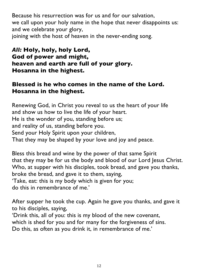Because his resurrection was for us and for our salvation, we call upon your holy name in the hope that never disappoints us: and we celebrate your glory, joining with the host of heaven in the never-ending song.

#### *All:* **Holy, holy, holy Lord, God of power and might, heaven and earth are full of your glory. Hosanna in the highest.**

#### **Blessed is he who comes in the name of the Lord. Hosanna in the highest.**

Renewing God, in Christ you reveal to us the heart of your life and show us how to live the life of your heart. He is the wonder of you, standing before us; and reality of us, standing before you. Send your Holy Spirit upon your children, That they may be shaped by your love and joy and peace.

Bless this bread and wine by the power of that same Spirit that they may be for us the body and blood of our Lord Jesus Christ. Who, at supper with his disciples, took bread, and gave you thanks, broke the bread, and gave it to them, saying, 'Take, eat: this is my body which is given for you; do this in remembrance of me.'

After supper he took the cup. Again he gave you thanks, and gave it to his disciples, saying,

'Drink this, all of you: this is my blood of the new covenant, which is shed for you and for many for the forgiveness of sins. Do this, as often as you drink it, in remembrance of me.'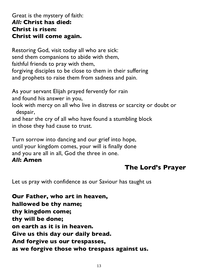#### Great is the mystery of faith: *All:* **Christ has died: Christ is risen: Christ will come again.**

Restoring God, visit today all who are sick: send them companions to abide with them, faithful friends to pray with them, forgiving disciples to be close to them in their suffering and prophets to raise them from sadness and pain.

As your servant Elijah prayed fervently for rain and found his answer in you,

look with mercy on all who live in distress or scarcity or doubt or despair,

and hear the cry of all who have found a stumbling block in those they had cause to trust.

Turn sorrow into dancing and our grief into hope, until your kingdom comes, your will is finally done and you are all in all, God the three in one.

#### *All***: Amen**

## **The Lord's Prayer**

Let us pray with confidence as our Saviour has taught us

**Our Father, who art in heaven, hallowed be thy name; thy kingdom come; thy will be done; on earth as it is in heaven. Give us this day our daily bread. And forgive us our trespasses, as we forgive those who trespass against us.**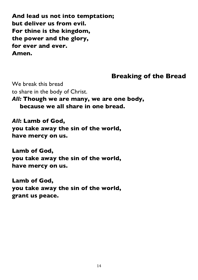**And lead us not into temptation; but deliver us from evil. For thine is the kingdom, the power and the glory, for ever and ever. Amen.**

#### **Breaking of the Bread**

We break this bread to share in the body of Christ.

*All:* **Though we are many, we are one body, because we all share in one bread.**

*All***: Lamb of God, you take away the sin of the world, have mercy on us.**

**Lamb of God, you take away the sin of the world, have mercy on us.**

**Lamb of God, you take away the sin of the world, grant us peace.**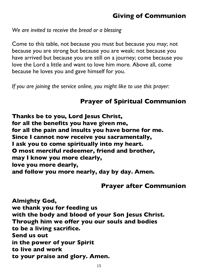## **Giving of Communion**

*We are invited to receive the bread or a blessing*

Come to this table, not because you must but because you may; not because you are strong but because you are weak; not because you have arrived but because you are still on a journey; come because you love the Lord a little and want to love him more. Above all, come because he loves you and gave himself for you.

*If you are joining the service online, you might like to use this prayer:*

## **Prayer of Spiritual Communion**

**Thanks be to you, Lord Jesus Christ, for all the benefits you have given me, for all the pain and insults you have borne for me. Since I cannot now receive you sacramentally, I ask you to come spiritually into my heart. O most merciful redeemer, friend and brother, may I know you more clearly, love you more dearly, and follow you more nearly, day by day. Amen.**

#### **Prayer after Communion**

**Almighty God, we thank you for feeding us with the body and blood of your Son Jesus Christ. Through him we offer you our souls and bodies to be a living sacrifice. Send us out in the power of your Spirit to live and work to your praise and glory. Amen.**